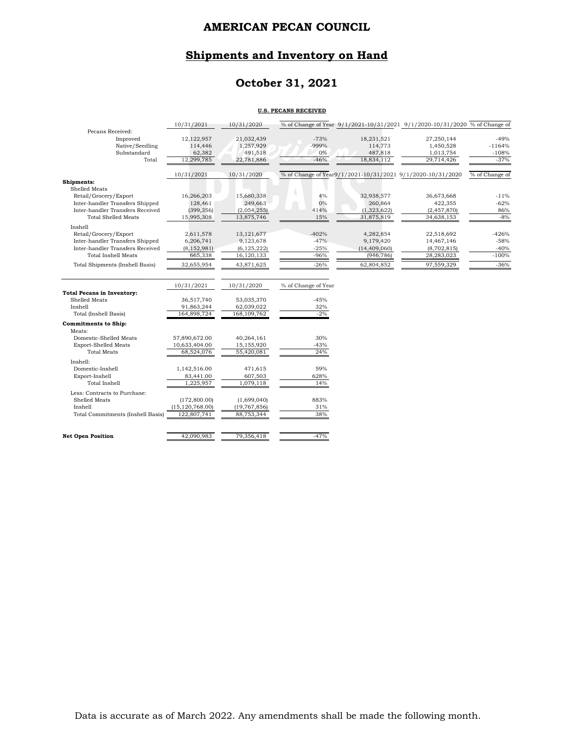#### **Shipments and Inventory on Hand**

### **October 31, 2021**

#### **U.S. PECANS RECEIVED**

|                                   | 10/31/2021           | 10/31/2020     |                     |                       | % of Change of Year 9/1/2021-10/31/2021 9/1/2020-10/31/2020 % of Change of |                   |
|-----------------------------------|----------------------|----------------|---------------------|-----------------------|----------------------------------------------------------------------------|-------------------|
| Pecans Received:                  |                      |                |                     |                       |                                                                            |                   |
| Improved                          | 12,122,957           | 21,032,439     | $-73%$              | 18,231,521            | 27,250,144                                                                 | $-49%$            |
| Native/Seedling                   | 114,446              | 1,257,929      | -999%               | 114,773               | 1,450,528                                                                  | $-1164%$          |
| Substandard                       | 62,382<br>12,299,785 | 491,518        | 0%<br>$-46%$        | 487,818<br>18,834,112 | 1,013,754                                                                  | $-108%$<br>$-37%$ |
| Total                             |                      | 22,781,886     |                     |                       | 29,714,426                                                                 |                   |
|                                   | 10/31/2021           | 10/31/2020     |                     |                       | % of Change of Year9/1/2021-10/31/2021 9/1/2020-10/31/2020                 | % of Change of    |
| Shipments:                        |                      |                |                     |                       |                                                                            |                   |
| Shelled Meats                     |                      |                |                     |                       |                                                                            |                   |
| Retail/Grocery/Export             | 16,266,203           | 15,680,338     | 4%                  | 32,938,577            | 36,673,668                                                                 | $-11%$            |
| Inter-handler Transfers Shipped   | 128,461              | 249,663        | 0%                  | 260,864               | 422,355                                                                    | $-62%$            |
| Inter-handler Transfers Received  | (399, 356)           | (2,054,255)    | 414%                | (1, 323, 622)         | (2,457,870)                                                                | 86%               |
| <b>Total Shelled Meats</b>        | 15,995,308           | 13,875,746     | 15%                 | 31,875,819            | 34,638,153                                                                 | $-8%$             |
| Inshell                           |                      |                |                     |                       |                                                                            |                   |
| Retail/Grocery/Export             | 2,611,578            | 13, 121, 677   | $-402%$             | 4,282,854             | 22,518,692                                                                 | $-426%$           |
| Inter-handler Transfers Shipped   | 6,206,741            | 9,123,678      | $-47%$              | 9,179,420             | 14,467,146                                                                 | $-58%$            |
| Inter-handler Transfers Received  | (8, 152, 981)        | (6, 125, 222)  | $-25%$              | (14, 409, 060)        | (8,702,815)                                                                | $-40%$            |
| <b>Total Inshell Meats</b>        | 665,338              | 16,120,133     | $-96%$              | (946, 786)            | 28,283,023                                                                 | $-100%$           |
| Total Shipments (Inshell Basis)   | 32,655,954           | 43,871,625     | $-26%$              | 62,804,852            | 97,559,329                                                                 | $-36%$            |
|                                   |                      |                |                     |                       |                                                                            |                   |
|                                   | 10/31/2021           | 10/31/2020     | % of Change of Year |                       |                                                                            |                   |
| <b>Total Pecans in Inventory:</b> |                      |                |                     |                       |                                                                            |                   |
| Shelled Meats                     | 36,517,740           | 53,035,370     | $-45%$              |                       |                                                                            |                   |
| Inshell                           | 91,863,244           | 62,039,022     | 32%                 |                       |                                                                            |                   |
| Total (Inshell Basis)             | 164,898,724          | 168, 109, 762  | $-2%$               |                       |                                                                            |                   |
| <b>Commitments to Ship:</b>       |                      |                |                     |                       |                                                                            |                   |
| Meats:                            |                      |                |                     |                       |                                                                            |                   |
| Domestic-Shelled Meats            | 57,890,672.00        | 40,264,161     | 30%                 |                       |                                                                            |                   |
| <b>Export-Shelled Meats</b>       | 10,633,404.00        | 15,155,920     | $-43%$              |                       |                                                                            |                   |
| <b>Total Meats</b>                | 68,524,076           | 55,420,081     | 24%                 |                       |                                                                            |                   |
| Inshell:                          |                      |                |                     |                       |                                                                            |                   |
| Domestic-Inshell                  | 1,142,516.00         | 471,615        | 59%                 |                       |                                                                            |                   |
| Export-Inshell                    | 83,441.00            | 607,503        | 628%                |                       |                                                                            |                   |
| <b>Total Inshell</b>              | 1,225,957            | 1,079,118      | 14%                 |                       |                                                                            |                   |
| Less: Contracts to Purchase:      |                      |                |                     |                       |                                                                            |                   |
| Shelled Meats                     | (172,800.00)         | (1,699,040)    | 883%                |                       |                                                                            |                   |
| Inshell                           | (15, 120, 768.00)    | (19, 767, 856) | 31%                 |                       |                                                                            |                   |
| Total Commitments (Inshell Basis) | 122,807,741          | 88,753,344     | 38%                 |                       |                                                                            |                   |
|                                   |                      |                |                     |                       |                                                                            |                   |
| <b>Net Open Position</b>          | 42.090.983           | 79,356,418     | $-47%$              |                       |                                                                            |                   |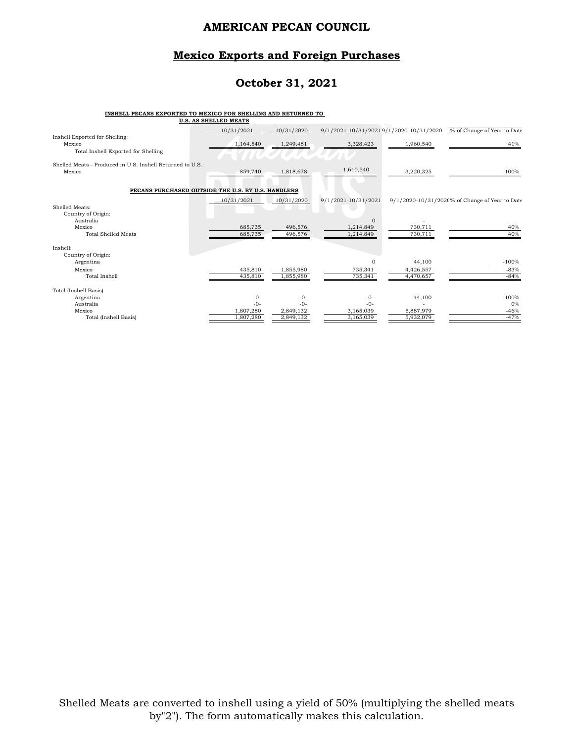#### **Mexico Exports and Foreign Purchases**

#### **October 31, 2021**

## **INSHELL PECANS EXPORTED TO MEXICO FOR SHELLING AND RETURNED TO U.S. AS SHELLED MEATS**

|                                                                      | U.S. AS SHELLED MEAIS |            |                                        |           |                                                |
|----------------------------------------------------------------------|-----------------------|------------|----------------------------------------|-----------|------------------------------------------------|
| Inshell Exported for Shelling:                                       | 10/31/2021            | 10/31/2020 | 9/1/2021-10/31/20219/1/2020-10/31/2020 |           | % of Change of Year to Date                    |
| Mexico                                                               | 1,164,540             | 1,249,481  | 3,328,423                              | 1,960,540 | 41%                                            |
| Total Inshell Exported for Shelling                                  |                       |            |                                        |           |                                                |
| Shelled Meats - Produced in U.S. Inshell Returned to U.S.:<br>Mexico |                       |            | 1,610,540                              |           |                                                |
|                                                                      | 859,740               | 1,818,678  |                                        | 3,220,325 | 100%                                           |
| PECANS PURCHASED OUTSIDE THE U.S. BY U.S. HANDLERS                   |                       |            |                                        |           |                                                |
|                                                                      | 10/31/2021            | 10/31/2020 | 9/1/2021-10/31/2021                    |           | 9/1/2020-10/31/202(% of Change of Year to Date |
| Shelled Meats:<br>Country of Origin:                                 |                       |            |                                        |           |                                                |
| Australia                                                            |                       |            | $\Omega$                               |           |                                                |
| Mexico                                                               | 685,735               | 496,576    | 1,214,849                              | 730,711   | 40%                                            |
| <b>Total Shelled Meats</b>                                           | 685,735               | 496,576    | 1,214,849                              | 730,711   | 40%                                            |
| Inshell:                                                             |                       |            |                                        |           |                                                |
| Country of Origin:                                                   |                       |            |                                        |           |                                                |
| Argentina                                                            |                       |            | $\Omega$                               | 44,100    | $-100%$                                        |
| Mexico                                                               | 435,810               | 1,855,980  | 735,341                                | 4,426,557 | $-83%$                                         |
| Total Inshell                                                        | 435,810               | 1,855,980  | 735,341                                | 4,470,657 | $-84%$                                         |
| Total (Inshell Basis)                                                |                       |            |                                        |           |                                                |
| Argentina                                                            | $-0-$                 | $-0-$      | $-0-$                                  | 44,100    | $-100%$                                        |
| Australia                                                            | $-0-$                 | $-0-$      | $-0-$                                  |           | 0%                                             |
| Mexico                                                               | 1,807,280             | 2,849,132  | 3,165,039                              | 5,887,979 | $-46%$                                         |
| Total (Inshell Basis)                                                | 1,807,280             | 2,849,132  | 3,165,039                              | 5,932,079 | $-47%$                                         |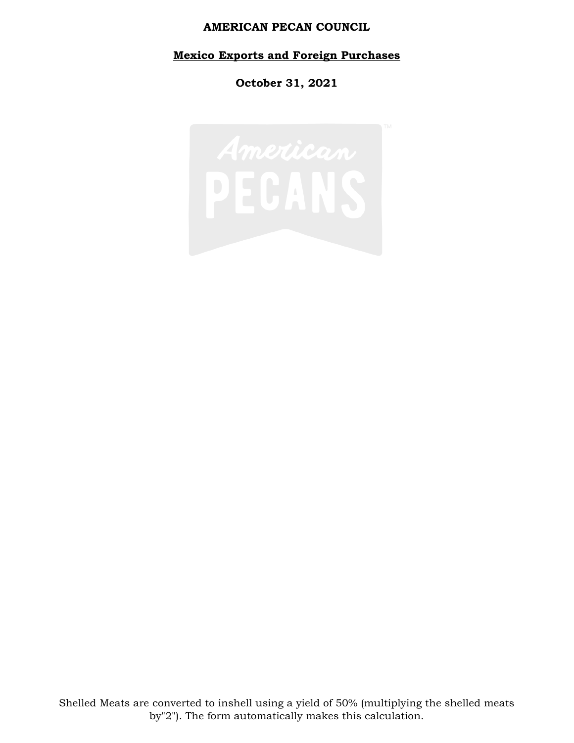#### **Mexico Exports and Foreign Purchases**

**October 31, 2021**

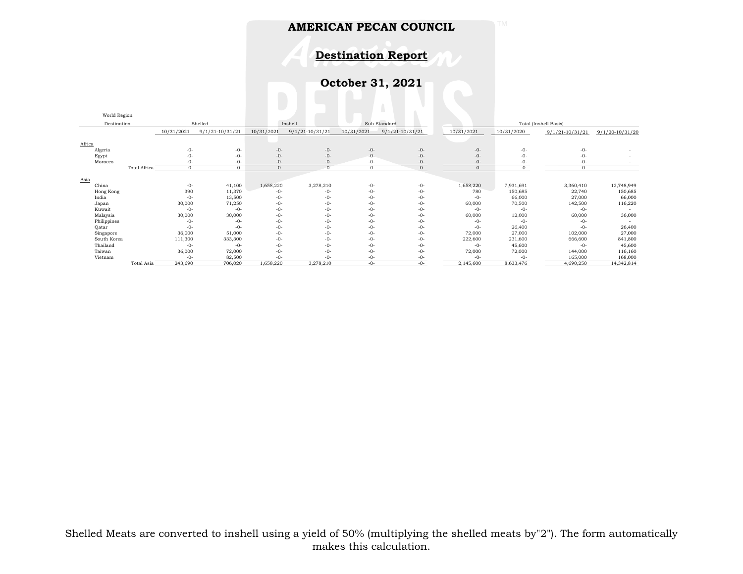**Destination Report**

**October 31, 2021**

|             | World Region |              |            |                     |            |                   |              |                     |                       |            |                     |                     |
|-------------|--------------|--------------|------------|---------------------|------------|-------------------|--------------|---------------------|-----------------------|------------|---------------------|---------------------|
| Destination |              |              | Shelled    | Inshell             |            |                   | Sub-Standard |                     | Total (Inshell Basis) |            |                     |                     |
|             |              |              | 10/31/2021 | $9/1/21 - 10/31/21$ | 10/31/2021 | $9/1/21-10/31/21$ | 10/31/2021   | $9/1/21 - 10/31/21$ | 10/31/2021            | 10/31/2020 | $9/1/21 - 10/31/21$ | $9/1/20 - 10/31/20$ |
|             |              |              |            |                     |            |                   |              |                     |                       |            |                     |                     |
| Africa      |              |              |            |                     |            |                   |              |                     |                       |            |                     |                     |
|             | Algeria      |              | $-0-$      | $-0-$               | $-0-$      | $-0-$             | $-0-$        | $-0-$               | $-0-$                 | $-0-$      | -0-                 |                     |
|             | Egypt        |              | $-0-$      | $-0-$               | $-0-$      | $-0-$             | $-0-$        | $-0-$               | $-0-$                 | $-0-$      | -0-                 |                     |
|             | Morocco      |              | $-0-$      | -0-                 | $-0-$      | $-0-$             | $-0-$        | $-0-$               | $-0-$                 | $-0-$      | -0-                 |                     |
|             |              | Total Africa | $-0-$      | -0-                 | $-0-$      | $-0-$             | $-0-$        | $-0-$               | $-0-$                 | $-0-$      | -0-                 |                     |
|             |              |              |            |                     |            |                   |              |                     |                       |            |                     |                     |
| Asia        |              |              |            |                     |            |                   |              |                     |                       |            |                     |                     |
|             | China        |              | $-0-$      | 41,100              | 1,658,220  | 3,278,210         | $-0-$        | -0-                 | 1,658,220             | 7,931,691  | 3,360,410           | 12,748,949          |
|             | Hong Kong    |              | 390        | 11,370              | $-0-$      | $-0-$             | $-0-$        | -0-                 | 780                   | 150,685    | 22,740              | 150,685             |
|             | India        |              | $-0-$      | 13,500              | $-0-$      | $-0-$             | $-0-$        | -0-                 | $-0-$                 | 66,000     | 27,000              | 66,000              |
|             | Japan        |              | 30,000     | 71,250              | $-0-$      | $-0-$             | $-0-$        | -0-                 | 60,000                | 70,500     | 142,500             | 116,220             |
|             | Kuwait       |              | $-0-$      | $-0-$               | $-0-$      | $-0-$             | $-0-$        | $-0-$               | $-0-$                 | $-0-$      | $-0-$               |                     |
|             | Malaysia     |              | 30,000     | 30,000              | $-0-$      | $-0-$             | $-0-$        | -0-                 | 60,000                | 12,000     | 60,000              | 36,000              |
|             | Philippines  |              | $-0-$      | $-0-$               | $-0-$      | $-0-$             | $-()$ -      | -0-                 | $-0-$                 | $-0-$      | -0-                 |                     |
|             | Qatar        |              | $-0-$      | $-0-$               | $-0-$      | $-0-$             | $-()$ -      | $-0-$               | $-0-$                 | 26,400     | $-0-$               | 26,400              |
|             | Singapore    |              | 36,000     | 51,000              | $-0-$      | $-0-$             | $-0-$        | $-0-$               | 72,000                | 27,000     | 102,000             | 27,000              |
|             | South Korea  |              | 111,300    | 333,300             | $-0-$      | $-0-$             | $-0-$        | -0-                 | 222,600               | 231,600    | 666,600             | 841,800             |
|             | Thailand     |              | $-0-$      | $-0-$               | $-0-$      | $-0-$             | $-0-$        | -0-                 | $-0-$                 | 45,600     | $-0-$               | 45,600              |
|             | Taiwan       |              | 36,000     | 72,000              | $-0-$      | $-0-$             | $-0-$        | $-0-$               | 72,000                | 72,000     | 144,000             | 116,160             |
|             | Vietnam      |              | $-()$ -    | 82,500              | $-\Omega$  | $-()$ -           | $-()$ -      |                     | -0-                   | $-0-$      | 165,000             | 168,000             |
|             |              | Total Asia   | 243,690    | 706,020             | 1,658,220  | 3,278,210         | $-0-$        | -0-                 | 2,145,600             | 8,633,476  | 4,690,250           | 14,342,814          |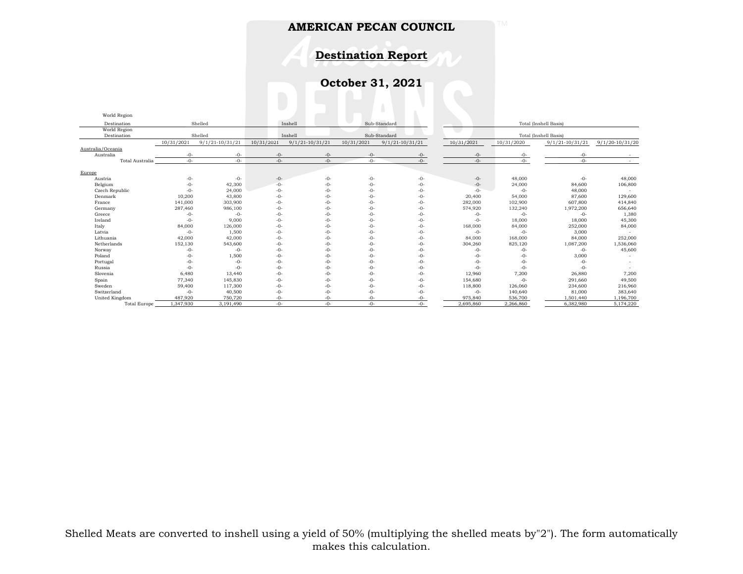**Destination Report**

**October 31, 2021**

| World Region        |            |                     |            |                     |            |                   |                       |                       |                     |                 |  |  |
|---------------------|------------|---------------------|------------|---------------------|------------|-------------------|-----------------------|-----------------------|---------------------|-----------------|--|--|
| Destination         |            | Shelled             |            | Inshell             |            | Sub-Standard      | Total (Inshell Basis) |                       |                     |                 |  |  |
| World Region        |            |                     |            |                     |            |                   |                       |                       |                     |                 |  |  |
| Destination         |            | Shelled             |            | Inshell             |            | Sub-Standard      |                       | Total (Inshell Basis) |                     |                 |  |  |
|                     | 10/31/2021 | $9/1/21 - 10/31/21$ | 10/31/2021 | $9/1/21 - 10/31/21$ | 10/31/2021 | $9/1/21-10/31/21$ | 10/31/2021            | 10/31/2020            | $9/1/21 - 10/31/21$ | 9/1/20-10/31/20 |  |  |
| Australia/Oceania   |            |                     |            |                     |            |                   |                       |                       |                     |                 |  |  |
| Australia           | $-0-$      | -0-                 | $-0-$      | $-0-$               | $-0-$      | -0-               | $-0-$                 | $-0-$                 | $-0-$               |                 |  |  |
| Total Australia     | $-0-$      | $-0-$               | $-0-$      | $-0-$               | -0-        | -0-               | $-0-$                 | $-()$ -               | $-0-$               |                 |  |  |
| Europe              |            |                     |            |                     |            |                   |                       |                       |                     |                 |  |  |
| Austria             | $-0-$      | $-0-$               | -0-        | $-0-$               | $-0-$      | $-0-$             | $-0-$                 | 48,000                | $-0-$               | 48,000          |  |  |
| Belgium             | $-0-$      | 42,300              | $-0-$      | $-()$ -             | $-0-$      | $-0-$             | $-0-$                 | 24,000                | 84,600              | 106,800         |  |  |
| Czech Republic      | $-0-$      | 24,000              | -0-        | $-0-$               | $-0-$      | $-0-$             | $-0-$                 | $-0-$                 | 48,000              |                 |  |  |
| Denmark             | 10,200     | 43,800              | $-0-$      | $-0-$               | $-0-$      | $-0-$             | 20,400                | 54,000                | 87,600              | 129,600         |  |  |
| France              | 141,000    | 303,900             | $-0-$      | $-0-$               | $-0-$      | $-0-$             | 282,000               | 102,900               | 607,800             | 414,840         |  |  |
| Germany             | 287,460    | 986,100             | $-0-$      | -0-                 | $-0-$      | $-0-$             | 574,920               | 132,240               | 1,972,200           | 656,640         |  |  |
| Greece              | $-0-$      | $-0-$               | $-0-$      | $-()$ -             | $-()$ -    | $-0-$             | $-0-$                 | $-0-$                 | $-0-$               | 1,380           |  |  |
| Ireland             | $-0-$      | 9,000               | $-0-$      | $-()$ -             | $-()$ -    | $-0-$             | $-()$ -               | 18,000                | 18,000              | 45,300          |  |  |
| Italy               | 84,000     | 126,000             | -0-        | $-0-$               | $-()$ -    | $-0-$             | 168,000               | 84,000                | 252,000             | 84,000          |  |  |
| Latvia              | $-0-$      | 1,500               | $-0-$      | $-0-$               | $-0-$      | $-0-$             | $-0-$                 | $-0-$                 | 3,000               |                 |  |  |
| Lithuania           | 42,000     | 42,000              | $-0-$      | $-()$ -             | $-()$ -    | $-()$ -           | 84,000                | 168,000               | 84,000              | 252,000         |  |  |
| Netherlands         | 152,130    | 543,600             | $-0-$      | -0-                 | $-0-$      | -0-               | 304,260               | 825,120               | 1,087,200           | 1,536,060       |  |  |
| Norway              | $-0-$      | $-0-$               | -0-        | $-0-$               | $-0-$      | -0-               | $-0-$                 | $-0-$                 | $-0-$               | 45,600          |  |  |
| Poland              | $-0-$      | 1,500               | -0-        | $-()$ -             | $-()$ -    | $-()$ -           | $-()$ -               | $-0-$                 | 3,000               |                 |  |  |
| Portugal            | $-0-$      | $-0-$               | -0-        | -ቦ-                 | $-0-$      | -0-               | -0-                   | -0-                   | $-0-$               |                 |  |  |
| Russia              | $-0-$      | -0-                 | $-0-$      | $-0-$               | $-0-$      | -0-               | $-0-$                 | $-0-$                 | $-0-$               |                 |  |  |
| Slovenia            | 6,480      | 13,440              | $-0-$      | $-0-$               | $-0-$      | $-0-$             | 12,960                | 7,200                 | 26,880              | 7,200           |  |  |
| Spain               | 77,340     | 145,830             | $-0-$      | $-0-$               | $-0-$      | -0-               | 154,680               | $-0-$                 | 291,660             | 49,500          |  |  |
| Sweden              | 59,400     | 117,300             | $-0-$      | $-0-$               | $-0-$      | -0-               | 118,800               | 126,060               | 234,600             | 216,960         |  |  |
| Switzerland         | $-0-$      | 40,500              | $-0-$      | $-0-$               | $-()$ -    | $-0-$             | $-0-$                 | 140,640               | 81,000              | 383,640         |  |  |
| United Kingdom      | 487,920    | 750,720             | -0-        | $-()$ -             | -0-        | -0-               | 975,840               | 536,700               | 1,501,440           | 1,196,700       |  |  |
| <b>Total Europe</b> | 1,347,930  | 3,191,490           | $-0-$      | $-()$ -             | $-()$ -    | $-()$ -           | 2,695,860             | 2,266,860             | 6,382,980           | 5,174,220       |  |  |

Shelled Meats are converted to inshell using a yield of 50% (multiplying the shelled meats by"2"). The form automatically makes this calculation.